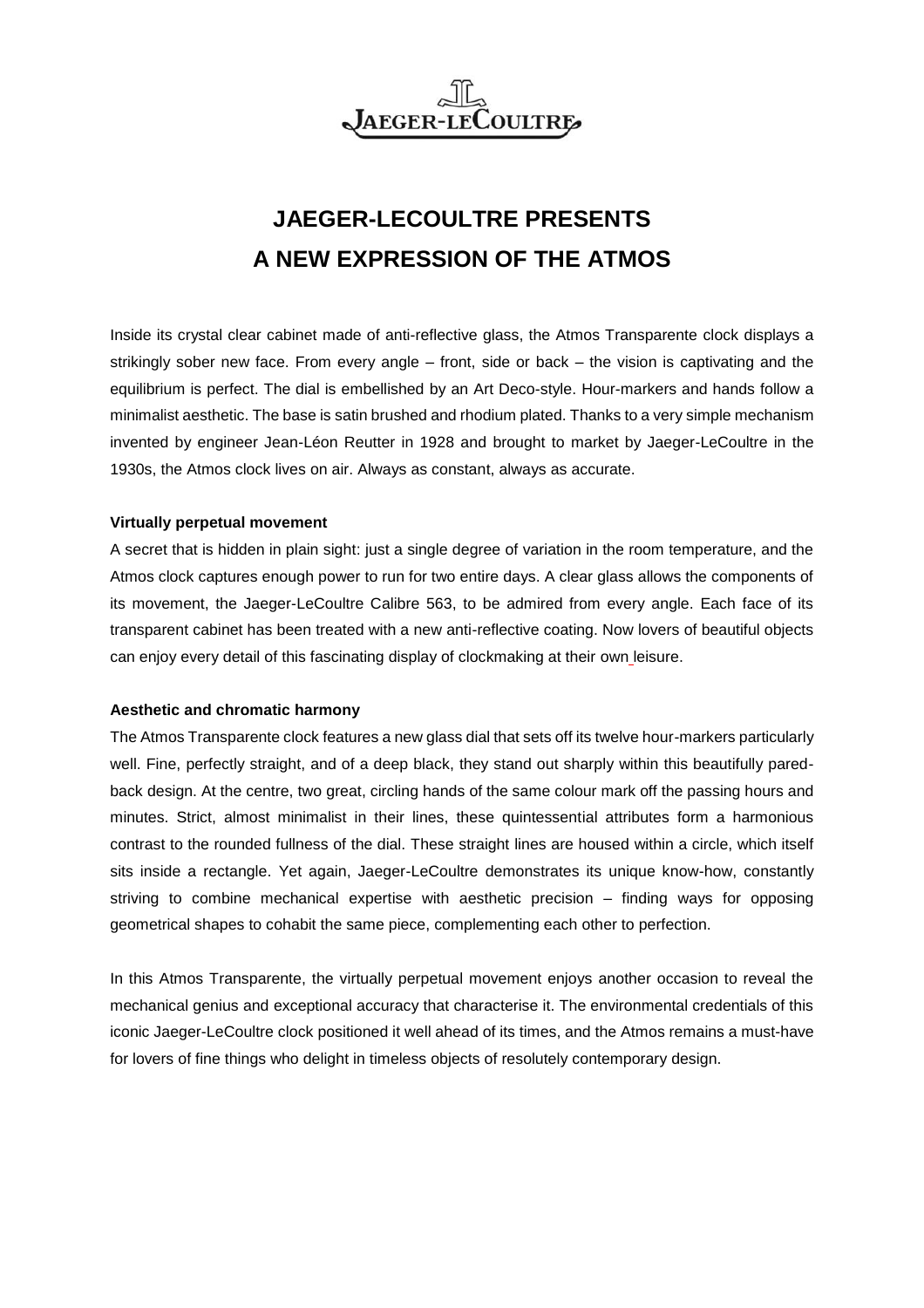

# **JAEGER-LECOULTRE PRESENTS A NEW EXPRESSION OF THE ATMOS**

Inside its crystal clear cabinet made of anti-reflective glass, the Atmos Transparente clock displays a strikingly sober new face. From every angle – front, side or back – the vision is captivating and the equilibrium is perfect. The dial is embellished by an Art Deco-style. Hour-markers and hands follow a minimalist aesthetic. The base is satin brushed and rhodium plated. Thanks to a very simple mechanism invented by engineer Jean-Léon Reutter in 1928 and brought to market by Jaeger-LeCoultre in the 1930s, the Atmos clock lives on air. Always as constant, always as accurate.

## **Virtually perpetual movement**

A secret that is hidden in plain sight: just a single degree of variation in the room temperature, and the Atmos clock captures enough power to run for two entire days. A clear glass allows the components of its movement, the Jaeger-LeCoultre Calibre 563, to be admired from every angle. Each face of its transparent cabinet has been treated with a new anti-reflective coating. Now lovers of beautiful objects can enjoy every detail of this fascinating display of clockmaking at their own leisure.

## **Aesthetic and chromatic harmony**

The Atmos Transparente clock features a new glass dial that sets off its twelve hour-markers particularly well. Fine, perfectly straight, and of a deep black, they stand out sharply within this beautifully paredback design. At the centre, two great, circling hands of the same colour mark off the passing hours and minutes. Strict, almost minimalist in their lines, these quintessential attributes form a harmonious contrast to the rounded fullness of the dial. These straight lines are housed within a circle, which itself sits inside a rectangle. Yet again, Jaeger-LeCoultre demonstrates its unique know-how, constantly striving to combine mechanical expertise with aesthetic precision – finding ways for opposing geometrical shapes to cohabit the same piece, complementing each other to perfection.

In this Atmos Transparente, the virtually perpetual movement enjoys another occasion to reveal the mechanical genius and exceptional accuracy that characterise it. The environmental credentials of this iconic Jaeger-LeCoultre clock positioned it well ahead of its times, and the Atmos remains a must-have for lovers of fine things who delight in timeless objects of resolutely contemporary design.